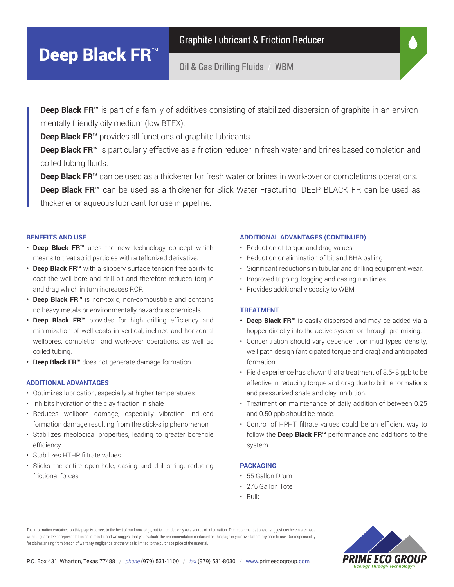# Deep Black FR<sup>™</sup>

Graphite Lubricant & Friction Reducer

Oil & Gas Drilling Fluids / WBM

Deep Black FR<sup>™</sup> is part of a family of additives consisting of stabilized dispersion of graphite in an environmentally friendly oily medium (low BTEX).

**Deep Black FR™** provides all functions of graphite lubricants.

Deep Black FR<sup>™</sup> is particularly effective as a friction reducer in fresh water and brines based completion and coiled tubing fluids.

**Deep Black FR™** can be used as a thickener for fresh water or brines in work-over or completions operations. Deep Black FR<sup>™</sup> can be used as a thickener for Slick Water Fracturing. DEEP BLACK FR can be used as thickener or aqueous lubricant for use in pipeline.

## **BENEFITS AND USE**

- **• Deep Black FR™** uses the new technology concept which means to treat solid particles with a teflonized derivative.
- **• Deep Black FR™** with a slippery surface tension free ability to coat the well bore and drill bit and therefore reduces torque and drag which in turn increases ROP.
- **• Deep Black FR™** is non-toxic, non-combustible and contains no heavy metals or environmentally hazardous chemicals.
- **• Deep Black FR™** provides for high drilling efficiency and minimization of well costs in vertical, inclined and horizontal wellbores, completion and work-over operations, as well as coiled tubing.
- **• Deep Black FR™** does not generate damage formation.

#### **ADDITIONAL ADVANTAGES**

- Optimizes lubrication, especially at higher temperatures
- Inhibits hydration of the clay fraction in shale
- Reduces wellbore damage, especially vibration induced formation damage resulting from the stick-slip phenomenon
- Stabilizes rheological properties, leading to greater borehole efficiency
- Stabilizes HTHP filtrate values
- Slicks the entire open-hole, casing and drill-string; reducing frictional forces

#### **ADDITIONAL ADVANTAGES (CONTINUED)**

- Reduction of torque and drag values
- Reduction or elimination of bit and BHA balling
- Significant reductions in tubular and drilling equipment wear.
- Improved tripping, logging and casing run times
- Provides additional viscosity to WBM

## **TREATMENT**

- **• Deep Black FR™** is easily dispersed and may be added via a hopper directly into the active system or through pre-mixing.
- Concentration should vary dependent on mud types, density, well path design (anticipated torque and drag) and anticipated formation.
- Field experience has shown that a treatment of 3.5- 8 ppb to be effective in reducing torque and drag due to brittle formations and pressurized shale and clay inhibition.
- Treatment on maintenance of daily addition of between 0.25 and 0.50 ppb should be made.
- Control of HPHT filtrate values could be an efficient way to follow the **Deep Black FR™** performance and additions to the system.

#### **PACKAGING**

- 55 Gallon Drum
- 275 Gallon Tote
- Bulk

The information contained on this page is correct to the best of our knowledge, but is intended only as a source of information. The recommendations or suggestions herein are made without guarantee or representation as to results, and we suggest that you evaluate the recommendation contained on this page in your own laboratory prior to use. Our responsibility for claims arising from breach of warranty, negligence or otherwise is limited to the purchase price of the material.

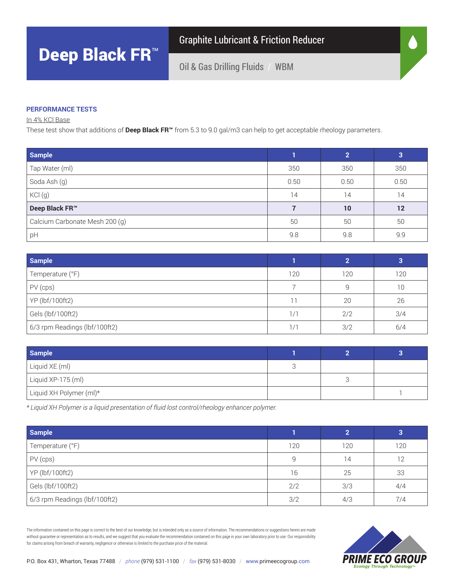Graphite Lubricant & Friction Reducer

Oil & Gas Drilling Fluids / WBM

## **PERFORMANCE TESTS**

In 4% KCl Base

These test show that additions of **Deep Black FR™** from 5.3 to 9.0 gal/m3 can help to get acceptable rheology parameters.

| <b>Sample</b>                  |      | $\overline{2}$ | 3                 |
|--------------------------------|------|----------------|-------------------|
| Tap Water (ml)                 | 350  | 350            | 350               |
| Soda Ash (g)                   | 0.50 | 0.50           | 0.50              |
| KCl(g)                         | 14   | 14             | 14                |
| Deep Black FR™                 |      | 10             | $12 \overline{ }$ |
| Calcium Carbonate Mesh 200 (g) | 50   | 50             | 50                |
| pH                             | 9.8  | 9.8            | 9.9               |

| <b>Sample</b>                 |               | ◠   |     |
|-------------------------------|---------------|-----|-----|
| Temperature (°F)              | 120           | 120 | 120 |
| PV (cps)                      |               |     | 10  |
| YP (lbf/100ft2)               |               | 20  | 26  |
| Gels (lbf/100ft2)             | 1/1           | 2/2 | 3/4 |
| 6/3 rpm Readings (lbf/100ft2) | $\frac{1}{1}$ | 3/2 | 6/4 |

| <b>Sample</b>           |  |  |
|-------------------------|--|--|
| Liquid XE (ml)          |  |  |
| Liquid XP-175 (ml)      |  |  |
| Liquid XH Polymer (ml)* |  |  |

*\* Liquid XH Polymer is a liquid presentation of fluid lost control/rheology enhancer polymer.*

| <b>Sample</b>                 |     | ົ   | 3   |
|-------------------------------|-----|-----|-----|
| Temperature (°F)              | 120 | 120 | 120 |
| PV (cps)                      | 9   | 14  | 12  |
| YP (lbf/100ft2)               | 16  | 25  | 33  |
| Gels (lbf/100ft2)             | 2/2 | 3/3 | 4/4 |
| 6/3 rpm Readings (lbf/100ft2) | 3/2 | 4/3 | 7/4 |

The information contained on this page is correct to the best of our knowledge, but is intended only as a source of information. The recommendations or suggestions herein are made without guarantee or representation as to results, and we suggest that you evaluate the recommendation contained on this page in your own laboratory prior to use. Our responsibility for claims arising from breach of warranty, negligence or otherwise is limited to the purchase price of the material.